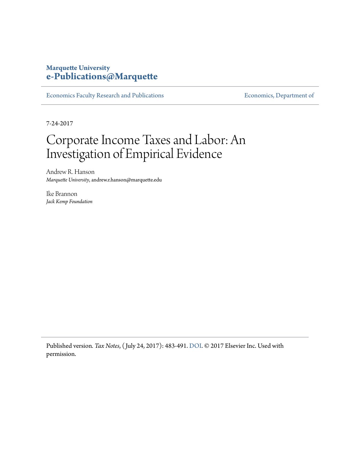# **Marquette University [e-Publications@Marquette](https://epublications.marquette.edu)**

[Economics Faculty Research and Publications](https://epublications.marquette.edu/econ_fac) **Economics**, Department of

7-24-2017

# Corporate Income Taxes and Labor: An Investigation of Empirical Evidence

Andrew R. Hanson *Marquette University*, andrew.r.hanson@marquette.edu

Ike Brannon *Jack Kemp Foundation*

Published version*. Tax Notes*, ( July 24, 2017): 483-491. [DOI.](http://dx.doi.org/10.2139/ssrn.3028135) © 2017 Elsevier Inc. Used with permission.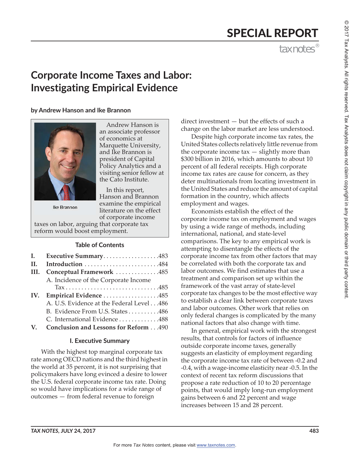# SPECIAL REPORT

tax notes®

 $^{\circ}$ 

# **Corporate Income Taxes and Labor: Investigating Empirical Evidence**

**by Andrew Hanson and Ike Brannon**



Andrew Hanson is an associate professor of economics at Marquette University, and Ike Brannon is president of Capital Policy Analytics and a visiting senior fellow at the Cato Institute.

Ike Brannon

In this report, Hanson and Brannon examine the empirical literature on the effect of corporate income

taxes on labor, arguing that corporate tax reform would boost employment.

### **Table of Contents**

| $\mathbf{I}$ . | Executive Summary483                      |
|----------------|-------------------------------------------|
| H.             | Introduction 484                          |
| Ш.             | Conceptual Framework 485                  |
|                | A. Incidence of the Corporate Income      |
|                |                                           |
|                |                                           |
| IV.            | Empirical Evidence 485                    |
|                | A. U.S. Evidence at the Federal Level 486 |
|                | B. Evidence From U.S. States 486          |
|                | C. International Evidence 488             |

### **I. Executive Summary**

With the highest top marginal corporate tax rate among OECD nations and the third highest in the world at 35 percent, it is not surprising that policymakers have long evinced a desire to lower the U.S. federal corporate income tax rate. Doing so would have implications for a wide range of outcomes — from federal revenue to foreign

direct investment — but the effects of such a change on the labor market are less understood.

Despite high corporate income tax rates, the United States collects relatively little revenue from the corporate income  $tax - slightly$  more than \$300 billion in 2016, which amounts to about 10 percent of all federal receipts. High corporate income tax rates are cause for concern, as they deter multinationals from locating investment in the United States and reduce the amount of capital formation in the country, which affects employment and wages.

Economists establish the effect of the corporate income tax on employment and wages by using a wide range of methods, including international, national, and state-level comparisons. The key to any empirical work is attempting to disentangle the effects of the corporate income tax from other factors that may be correlated with both the corporate tax and labor outcomes. We find estimates that use a treatment and comparison set up within the framework of the vast array of state-level corporate tax changes to be the most effective way to establish a clear link between corporate taxes and labor outcomes. Other work that relies on only federal changes is complicated by the many national factors that also change with time.

In general, empirical work with the strongest results, that controls for factors of influence outside corporate income taxes, generally suggests an elasticity of employment regarding the corporate income tax rate of between -0.2 and -0.4, with a wage-income elasticity near -0.5. In the context of recent tax reform discussions that propose a rate reduction of 10 to 20 percentage points, that would imply long-run employment gains between 6 and 22 percent and wage increases between 15 and 28 percent.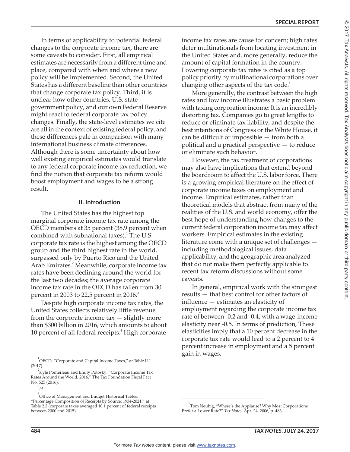In terms of applicability to potential federal changes to the corporate income tax, there are some caveats to consider. First, all empirical estimates are necessarily from a different time and place, compared with when and where a new policy will be implemented. Second, the United States has a different baseline than other countries that change corporate tax policy. Third, it is unclear how other countries, U.S. state government policy, and our own Federal Reserve might react to federal corporate tax policy changes. Finally, the state-level estimates we cite are all in the context of existing federal policy, and these differences pale in comparison with many international business climate differences. Although there is some uncertainty about how well existing empirical estimates would translate to any federal corporate income tax reduction, we find the notion that corporate tax reform would boost employment and wages to be a strong result.

#### **II. Introduction**

The United States has the highest top marginal corporate income tax rate among the OECD members at 35 percent (38.9 percent when combined with subnational taxes).<sup>1</sup> The U.S. corporate tax rate is the highest among the OECD group and the third highest rate in the world, surpassed only by Puerto Rico and the United Arab Emirates.<sup>2</sup> Meanwhile, corporate income tax rates have been declining around the world for the last two decades; the average corporate income tax rate in the OECD has fallen from 30 percent in 2003 to 22.5 percent in  $2016$ .

Despite high corporate income tax rates, the United States collects relatively little revenue from the corporate income  $tax - slightly$  more than \$300 billion in 2016, which amounts to about 10 percent of all federal receipts.<sup>4</sup> High corporate income tax rates are cause for concern; high rates deter multinationals from locating investment in the United States and, more generally, reduce the amount of capital formation in the country. Lowering corporate tax rates is cited as a top policy priority by multinational corporations over changing other aspects of the tax code.<sup>5</sup>

More generally, the contrast between the high rates and low income illustrates a basic problem with taxing corporation income: It is an incredibly distorting tax. Companies go to great lengths to reduce or eliminate tax liability, and despite the best intentions of Congress or the White House, it can be difficult or impossible — from both a political and a practical perspective — to reduce or eliminate such behavior.

However, the tax treatment of corporations may also have implications that extend beyond the boardroom to affect the U.S. labor force. There is a growing empirical literature on the effect of corporate income taxes on employment and income. Empirical estimates, rather than theoretical models that abstract from many of the realities of the U.S. and world economy, offer the best hope of understanding how changes to the current federal corporation income tax may affect workers. Empirical estimates in the existing literature come with a unique set of challenges including methodological issues, data applicability, and the geographic area analyzed that do not make them perfectly applicable to recent tax reform discussions without some caveats.

In general, empirical work with the strongest results — that best control for other factors of influence — estimates an elasticity of employment regarding the corporate income tax rate of between -0.2 and -0.4, with a wage-income elasticity near -0.5. In terms of prediction, These elasticities imply that a 10 percent decrease in the corporate tax rate would lead to a 2 percent to 4 percent increase in employment and a 5 percent

gain in wages.<br>  $\overline{C}^1$ OECD, "Corporate and Capital Income Taxes," at Table II.1 (2017).

<sup>&</sup>lt;sup>2</sup>Kyle Pomerleau and Emily Potosky, "Corporate Income Tax Rates Around the World, 2016," The Tax Foundation Fiscal Fact No. 525 (2016).

<sup>3</sup> *Id.*

<sup>4</sup> Office of Management and Budget Historical Tables,

<sup>&</sup>quot;Percentage Composition of Receipts by Source: 1934-2021," at Table 2.2 (corporate taxes averaged 10.1 percent of federal receipts between 2000 and 2015).

<sup>&</sup>lt;sup>5</sup> Tom Neubig, "Where's the Applause? Why Most Corporations Prefer a Lower Rate?" *Tax Notes*, Apr. 24, 2006, p. 483.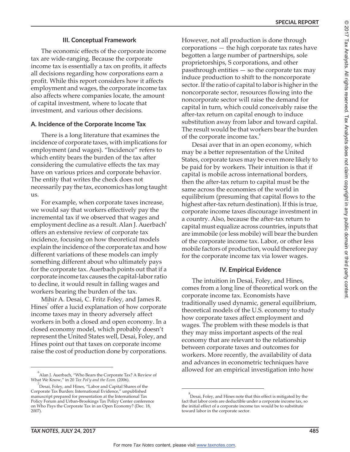# **III. Conceptual Framework**

The economic effects of the corporate income tax are wide-ranging. Because the corporate income tax is essentially a tax on profits, it affects all decisions regarding how corporations earn a profit. While this report considers how it affects employment and wages, the corporate income tax also affects where companies locate, the amount of capital investment, where to locate that investment, and various other decisions.

# **A. Incidence of the Corporate Income Tax**

There is a long literature that examines the incidence of corporate taxes, with implications for employment (and wages). "Incidence" refers to which entity bears the burden of the tax after considering the cumulative effects the tax may have on various prices and corporate behavior. The entity that writes the check does not necessarily pay the tax, economics has long taught us.

For example, when corporate taxes increase, we would say that workers effectively pay the incremental tax if we observed that wages and employment decline as a result. Alan J. Auerbach<sup>®</sup> offers an extensive review of corporate tax incidence, focusing on how theoretical models explain the incidence of the corporate tax and how different variations of these models can imply something different about who ultimately pays for the corporate tax. Auerbach points out that if a corporate income tax causes the capital-labor ratio to decline, it would result in falling wages and workers bearing the burden of the tax.

Mihir A. Desai, C. Fritz Foley, and James R. Hines<sup>7</sup> offer a lucid explanation of how corporate income taxes may in theory adversely affect workers in both a closed and open economy. In a closed economy model, which probably doesn't represent the United States well, Desai, Foley, and Hines point out that taxes on corporate income raise the cost of production done by corporations.

However, not all production is done through corporations — the high corporate tax rates have begotten a large number of partnerships, sole proprietorships, S corporations, and other passthrough entities  $-$  so the corporate tax may induce production to shift to the noncorporate sector. If the ratio of capital to labor is higher in the noncorporate sector, resources flowing into the noncorporate sector will raise the demand for capital in turn, which could conceivably raise the after-tax return on capital enough to induce substitution away from labor and toward capital. The result would be that workers bear the burden of the corporate income tax.<sup>8</sup>

Desai aver that in an open economy, which may be a better representation of the United States, corporate taxes may be even more likely to be paid for by workers. Their intuition is that if capital is mobile across international borders, then the after-tax return to capital must be the same across the economies of the world in equilibrium (presuming that capital flows to the highest after-tax return destination). If this is true, corporate income taxes discourage investment in a country. Also, because the after-tax return to capital must equalize across countries, inputs that are immobile (or less mobile) will bear the burden of the corporate income tax. Labor, or other less mobile factors of production, would therefore pay for the corporate income tax via lower wages.

# **IV. Empirical Evidence**

The intuition in Desai, Foley, and Hines, comes from a long line of theoretical work on the corporate income tax. Economists have traditionally used dynamic, general equilibrium, theoretical models of the U.S. economy to study how corporate taxes affect employment and wages. The problem with these models is that they may miss important aspects of the real economy that are relevant to the relationship between corporate taxes and outcomes for workers. More recently, the availability of data and advances in econometric techniques have allowed for an empirical investigation into how 6

 $\odot$ 

 $^{6}$ Alan J. Auerbach, "Who Bears the Corporate Tax? A Review of What We Know," in 20 *Tax Pol'y and the Econ.* (2006).

 $^7$ Desai, Foley, and Hines, "Labor and Capital Shares of the Corporate Tax Burden: International Evidence," unpublished manuscript prepared for presentation at the International Tax Policy Forum and Urban-Brookings Tax Policy Center conference on Who Pays the Corporate Tax in an Open Economy? (Dec. 18, 2007).

 $8$  Desai, Foley, and Hines note that this effect is mitigated by the fact that labor costs are deductible under a corporate income tax, so the initial effect of a corporate income tax would be to substitute toward labor in the corporate sector.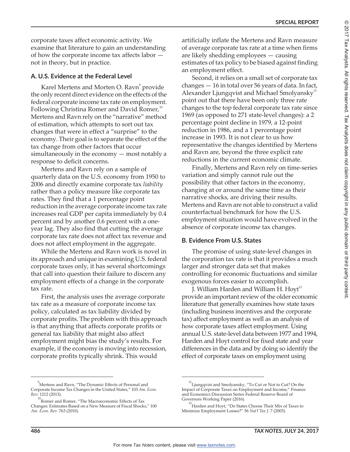corporate taxes affect economic activity. We examine that literature to gain an understanding of how the corporate income tax affects labor not in theory, but in practice.

#### **A. U.S. Evidence at the Federal Level**

Karel Mertens and Morten O. Ravn<sup>9</sup> provide the only recent direct evidence on the effects of the federal corporate income tax rate on employment. Following Christina Romer and David Romer,<sup>10</sup> Mertens and Ravn rely on the "narrative" method of estimation, which attempts to sort out tax changes that were in effect a "surprise" to the economy. Their goal is to separate the effect of the tax change from other factors that occur simultaneously in the economy — most notably a response to deficit concerns.

Mertens and Ravn rely on a sample of quarterly data on the U.S. economy from 1950 to 2006 and directly examine corporate tax *liability* rather than a policy measure like corporate tax rates. They find that a 1 percentage point reduction in the average corporate income tax rate increases real GDP per capita immediately by 0.4 percent and by another 0.6 percent with a oneyear lag. They also find that cutting the average corporate tax rate does not affect tax revenue and does not affect employment in the aggregate.

While the Mertens and Ravn work is novel in its approach and unique in examining U.S. federal corporate taxes only, it has several shortcomings that call into question their failure to discern any employment effects of a change in the corporate tax rate.

First, the analysis uses the average corporate tax rate as a measure of corporate income tax policy, calculated as tax liability divided by corporate profits. The problem with this approach is that anything that affects corporate profits or general tax liability that might also affect employment might bias the study's results. For example, if the economy is moving into recession, corporate profits typically shrink. This would

artificially inflate the Mertens and Ravn measure of average corporate tax rate at a time when firms are likely shedding employees — causing estimates of tax policy to be biased against finding an employment effect.

Second, it relies on a small set of corporate tax changes — 16 in total over 56 years of data. In fact, Alexander Ljungqvist and Michael Smolyansky $11$ point out that there have been only three rate changes to the top federal corporate tax rate since 1969 (as opposed to 271 state-level changes): a 2 percentage point decline in 1979, a 12-point reduction in 1986, and a 1 percentage point increase in 1993. It is not clear to us how representative the changes identified by Mertens and Ravn are, beyond the three explicit rate reductions in the current economic climate.

Finally, Mertens and Ravn rely on time-series variation and simply cannot rule out the possibility that other factors in the economy, changing at or around the same time as their narrative shocks, are driving their results. Mertens and Ravn are not able to construct a valid counterfactual benchmark for how the U.S. employment situation would have evolved in the absence of corporate income tax changes.

### **B. Evidence From U.S. States**

The promise of using state-level changes in the corporation tax rate is that it provides a much larger and stronger data set that makes controlling for economic fluctuations and similar exogenous forces easier to accomplish.

J. William Harden and William H. Hoyt<sup>12</sup> provide an important review of the older economic literature that generally examines how state taxes (including business incentives and the corporate tax) affect employment as well as an analysis of how corporate taxes affect employment. Using annual U.S. state-level data between 1977 and 1994, Harden and Hoyt control for fixed state and year differences in the data and by doing so identify the effect of corporate taxes on employment using

<sup>9</sup> Mertens and Ravn, "The Dynamic Effects of Personal and Corporate Income Tax Changes in the United States," 103 *Am. Econ. Rev.* 1212 (2013). 10

Romer and Romer, "The Macroeconomic Effects of Tax Changes: Estimates Based on a New Measure of Fiscal Shocks," 100 *Am. Econ. Rev.* 763 (2010).

<sup>&</sup>lt;sup>11</sup>Ljungqvist and Smolyansky, "To Cut or Not to Cut? On the Impact of Corporate Taxes on Employment and Income," Finance and Economics Discussion Series Federal Reserve Board of Governors Working Paper (2016).

<sup>&</sup>lt;sup>12</sup> Harden and Hoyt, "Do States Choose Their Mix of Taxes to Minimize Employment Losses?" 56 *Nat'l Tax J.* 7 (2003).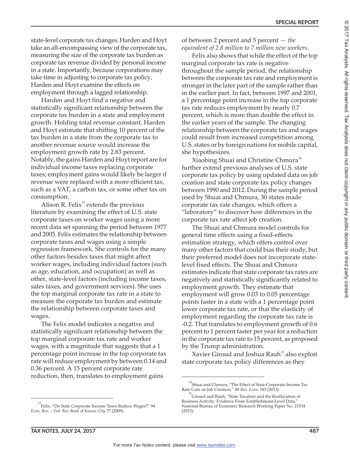state-level corporate tax changes. Harden and Hoyt take an all-encompassing view of the corporate tax, measuring the size of the corporate tax burden as corporate tax revenue divided by personal income in a state. Importantly, because corporations may take time in adjusting to corporate tax policy, Harden and Hoyt examine the effects on employment through a lagged relationship.

Harden and Hoyt find a negative and statistically significant relationship between the corporate tax burden in a state and employment growth. Holding total revenue constant, Harden and Hoyt estimate that shifting 10 percent of the tax burden in a state from the corporate tax to another revenue source would increase the employment growth rate by 2.83 percent. Notably, the gains Harden and Hoyt report are for individual income taxes replacing corporate taxes; employment gains would likely be larger if revenue were replaced with a more efficient tax, such as a VAT, a carbon tax, or some other tax on consumption.

Alison R. Felix $^{13}$  extends the previous literature by examining the effect of U.S. state corporate taxes on worker wages using a more recent data set spanning the period between 1977 and 2005. Felix estimates the relationship between corporate taxes and wages using a simple regression framework. She controls for the many other factors besides taxes that might affect worker wages, including individual factors (such as age, education, and occupation) as well as other, state-level factors (including income taxes, sales taxes, and government services). She uses the top marginal corporate tax rate in a state to measure the corporate tax burden and estimate the relationship between corporate taxes and wages.

The Felix model indicates a negative and statistically significant relationship between the top marginal corporate tax rate and worker wages, with a magnitude that suggests that a 1 percentage point increase in the top corporate tax rate will reduce employment by between 0.14 and 0.36 percent. A 15 percent corporate rate reduction, then, translates to employment gains

of between 2 percent and 5 percent *— the equivalent of 2.8 million to 7 million new workers.*

Felix also shows that while the effect of the top marginal corporate tax rate is negative throughout the sample period, the relationship between the corporate tax rate and employment is stronger in the later part of the sample rather than in the earlier part. In fact, between 1997 and 2001, a 1 percentage point increase in the top corporate tax rate reduces employment by nearly 0.7 percent, which is more than double the effect in the earlier years of the sample. The changing relationship between the corporate tax and wages could result from increased competition among U.S. states or by foreign nations for mobile capital, she hypothesizes.

Xiaobing Shuai and Christine Chmura $14$ further extend previous analyses of U.S. state corporate tax policy by using updated data on job creation and state corporate tax policy changes between 1990 and 2012. During the sample period used by Shuai and Chmura, 30 states made corporate tax rate changes, which offers a "laboratory" to discover how differences in the corporate tax rate affect job creation.

The Shuai and Chmura model controls for general time effects using a fixed-effects estimation strategy, which offers control over many other factors that could bias their study, but their preferred model does not incorporate statelevel fixed effects. The Shuai and Chmura estimates indicate that state corporate tax rates are negatively and statistically significantly related to employment growth. They estimate that employment will grow 0.03 to 0.05 percentage points faster in a state with a 1 percentage point lower corporate tax rate, or that the elasticity of employment regarding the corporate tax rate is -0.2. That translates to employment growth of 0.6 percent to 1 percent faster per year for a reduction in the corporate tax rate to 15 percent, as proposed by the Trump administration.

Xavier Giroud and Joshua Rauh<sup>15</sup> also exploit state corporate tax policy differences as they

 $\odot$ 

<sup>13</sup> Felix, "Do State Corporate Income Taxes Reduce Wages?" 94 *Econ. Rev. – Fed. Res. Bank of Kansas City* 77 (2009).

<sup>14</sup> Shuai and Chmura, "The Effect of State Corporate Income Tax Rate Cuts on Job Creation," 48 *Bus. Econ.* 183 (2013).

<sup>15</sup> Giroud and Rauh, "State Taxation and the Reallocation of Business Activity: Evidence From Establishment-Level Data," National Bureau of Economic Research Working Paper No. 21534 (2015).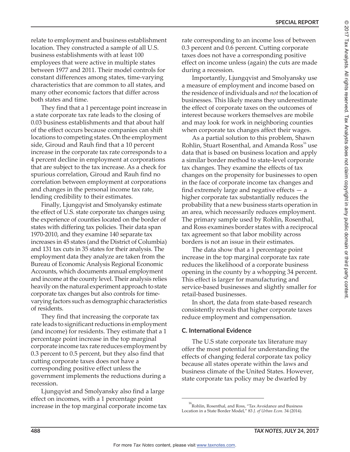**SPECIAL REPORT**

relate to employment and business establishment location. They constructed a sample of all U.S. business establishments with at least 100 employees that were active in multiple states between 1977 and 2011. Their model controls for constant differences among states, time-varying characteristics that are common to all states, and many other economic factors that differ across both states and time.

They find that a 1 percentage point increase in a state corporate tax rate leads to the closing of 0.03 business establishments and that about half of the effect occurs because companies can shift locations to competing states. On the employment side, Giroud and Rauh find that a 10 percent increase in the corporate tax rate corresponds to a 4 percent decline in employment at corporations that are subject to the tax increase. As a check for spurious correlation, Giroud and Rauh find no correlation between employment at corporations and changes in the personal income tax rate, lending credibility to their estimates.

Finally, Ljungqvist and Smolyansky estimate the effect of U.S. state corporate tax changes using the experience of counties located on the border of states with differing tax policies. Their data span 1970-2010, and they examine 140 separate tax increases in 45 states (and the District of Columbia) and 131 tax cuts in 35 states for their analysis. The employment data they analyze are taken from the Bureau of Economic Analysis Regional Economic Accounts, which documents annual employment and income at the county level. Their analysis relies heavily on the natural experiment approach to state corporate tax changes but also controls for timevarying factors such as demographic characteristics of residents.

They find that increasing the corporate tax rate leads to significant reductions in employment (and income) for residents. They estimate that a 1 percentage point increase in the top marginal corporate income tax rate reduces employment by 0.3 percent to 0.5 percent, but they also find that cutting corporate taxes does not have a corresponding positive effect unless the government implements the reductions during a recession.

Ljungqvist and Smolyansky also find a large effect on incomes, with a 1 percentage point increase in the top marginal corporate income tax rate corresponding to an income loss of between 0.3 percent and 0.6 percent. Cutting corporate taxes does not have a corresponding positive effect on income unless (again) the cuts are made during a recession.

Importantly, Ljungqvist and Smolyansky use a measure of employment and income based on the residence of individuals and *not* the location of businesses. This likely means they underestimate the effect of corporate taxes on the outcomes of interest because workers themselves are mobile and may look for work in neighboring counties when corporate tax changes affect their wages.

As a partial solution to this problem, Shawn Rohlin, Stuart Rosenthal, and Amanda Ross<sup>16</sup> use data that is based on business location and apply a similar border method to state-level corporate tax changes. They examine the effects of tax changes on the propensity for businesses to open in the face of corporate income tax changes and find extremely large and negative effects  $-$  a higher corporate tax substantially reduces the probability that a new business starts operation in an area, which necessarily reduces employment. The primary sample used by Rohlin, Rosenthal, and Ross examines border states with a reciprocal tax agreement so that labor mobility across borders is not an issue in their estimates.

The data show that a 1 percentage point increase in the top marginal corporate tax rate reduces the likelihood of a corporate business opening in the county by a whopping 34 percent. This effect is larger for manufacturing and service-based businesses and slightly smaller for retail-based businesses.

In short, the data from state-based research consistently reveals that higher corporate taxes reduce employment and compensation.

### **C. International Evidence**

The U.S state corporate tax literature may offer the most potential for understanding the effects of changing federal corporate tax policy because all states operate within the laws and business climate of the United States. However, state corporate tax policy may be dwarfed by

<sup>16</sup> Rohlin, Rosenthal, and Ross, "Tax Avoidance and Business Location in a State Border Model," 83 *J. of Urban Econ.* 34 (2014).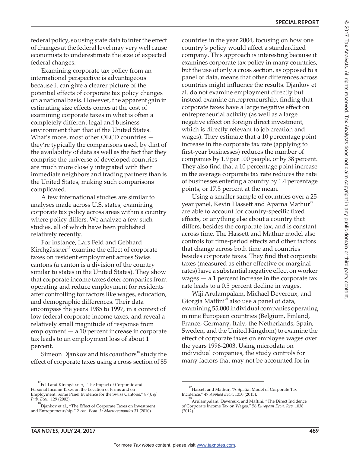federal policy, so using state data to infer the effect of changes at the federal level may very well cause economists to underestimate the size of expected federal changes.

Examining corporate tax policy from an international perspective is advantageous because it can give a clearer picture of the potential effects of corporate tax policy changes on a national basis. However, the apparent gain in estimating size effects comes at the cost of examining corporate taxes in what is often a completely different legal and business environment than that of the United States. What's more, most other OECD countries they're typically the comparisons used, by dint of the availability of data as well as the fact that they comprise the universe of developed countries are much more closely integrated with their immediate neighbors and trading partners than is the United States, making such comparisons complicated.

A few international studies are similar to analyses made across U.S. states, examining corporate tax policy across areas within a country where policy differs. We analyze a few such studies, all of which have been published relatively recently.

For instance, Lars Feld and Gebhard Kirchgässner<sup>17</sup> examine the effect of corporate taxes on resident employment across Swiss cantons (a canton is a division of the country similar to states in the United States). They show that corporate income taxes deter companies from operating and reduce employment for residents after controlling for factors like wages, education, and demographic differences. Their data encompass the years 1985 to 1997, in a context of low federal corporate income taxes, and reveal a relatively small magnitude of response from employment — a 10 percent increase in corporate tax leads to an employment loss of about 1 percent.

Simeon Djankov and his coauthors<sup>18</sup> study the effect of corporate taxes using a cross section of 85 countries in the year 2004, focusing on how one country's policy would affect a standardized company. This approach is interesting because it examines corporate tax policy in many countries, but the use of only a cross section, as opposed to a panel of data, means that other differences across countries might influence the results. Djankov et al. do not examine employment directly but instead examine entrepreneurship, finding that corporate taxes have a large negative effect on entrepreneurial activity (as well as a large negative effect on foreign direct investment, which is directly relevant to job creation and wages). They estimate that a 10 percentage point increase in the corporate tax rate (applying to first-year businesses) reduces the number of companies by 1.9 per 100 people, or by 38 percent. They also find that a 10 percentage point increase in the average corporate tax rate reduces the rate of businesses entering a country by 1.4 percentage points, or 17.5 percent at the mean.

Using a smaller sample of countries over a 25 year panel, Kevin Hassett and Aparna Mathur<sup>19</sup> are able to account for country-specific fixed effects, or anything else about a country that differs, besides the corporate tax, and is constant across time. The Hassett and Mathur model also controls for time-period effects and other factors that change across both time and countries besides corporate taxes. They find that corporate taxes (measured as either effective or marginal rates) have a substantial negative effect on worker wages — a 1 percent increase in the corporate tax rate leads to a 0.5 percent decline in wages.

Wiji Arulampalam, Michael Devereux, and Giorgia Maffini<sup>20</sup> also use a panel of data, examining 55,000 individual companies operating in nine European countries (Belgium, Finland, France, Germany, Italy, the Netherlands, Spain, Sweden, and the United Kingdom) to examine the effect of corporate taxes on employee wages over the years 1996-2003. Using microdata on individual companies, the study controls for many factors that may not be accounted for in

 $\odot$ 

<sup>&</sup>lt;sup>17</sup> Feld and Kirchgässner, "The Impact of Corporate and Personal Income Taxes on the Location of Firms and on Employment: Some Panel Evidence for the Swiss Cantons," 87 *J. of Pub. Econ.* 129 (2002).

<sup>18</sup> Djankov et al., "The Effect of Corporate Taxes on Investment and Entrepreneurship," 2 *Am. Econ. J.: Macroeconomic*s 31 (2010).

<sup>&</sup>lt;sup>19</sup> Hassett and Mathur, "A Spatial Model of Corporate Tax Incidence," 47 *Applied Econ*. 1350 (2015).

<sup>&</sup>lt;sup>20</sup>Arulampalam, Devereux, and Maffini, "The Direct Incidence of Corporate Income Tax on Wages," 56 *European Econ. Rev.* 1038 (2012).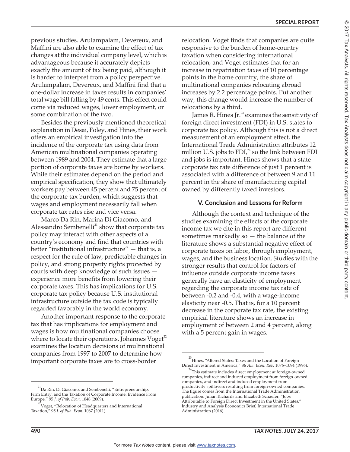previous studies. Arulampalam, Devereux, and Maffini are also able to examine the effect of tax changes at the individual company level, which is advantageous because it accurately depicts exactly the amount of tax being paid, although it is harder to interpret from a policy perspective. Arulampalam, Devereux, and Maffini find that a one-dollar increase in taxes results in companies' total wage bill falling by 49 cents. This effect could come via reduced wages, lower employment, or some combination of the two.

Besides the previously mentioned theoretical explanation in Desai, Foley, and Hines, their work offers an empirical investigation into the incidence of the corporate tax using data from American multinational companies operating between 1989 and 2004. They estimate that a large portion of corporate taxes are borne by workers. While their estimates depend on the period and empirical specification, they show that ultimately workers pay between 45 percent and 75 percent of the corporate tax burden, which suggests that wages and employment necessarily fall when corporate tax rates rise and vice versa.

Marco Da Rin, Marina Di Giacomo, and Alessandro Sembenelli<sup>21</sup> show that corporate tax policy may interact with other aspects of a country's economy and find that countries with better "institutional infrastructure" — that is, a respect for the rule of law, predictable changes in policy, and strong property rights protected by courts with deep knowledge of such issues experience more benefits from lowering their corporate taxes. This has implications for U.S. corporate tax policy because U.S. institutional infrastructure outside the tax code is typically regarded favorably in the world economy.

Another important response to the corporate tax that has implications for employment and wages is how multinational companies choose where to locate their operations. Johannes  $Voget<sup>22</sup>$ examines the location decisions of multinational companies from 1997 to 2007 to determine how important corporate taxes are to cross-border

relocation. Voget finds that companies are quite responsive to the burden of home-country taxation when considering international relocation, and Voget estimates that for an increase in repatriation taxes of 10 percentage points in the home country, the share of multinational companies relocating abroad increases by 2.2 percentage points. Put another way, this change would increase the number of relocations by a third.

James R. Hines Jr. $^{23}$  examines the sensitivity of foreign direct investment (FDI) in U.S. states to corporate tax policy. Although this is not a direct measurement of an employment effect, the International Trade Administration attributes 12 million U.S. jobs to  $FDI^{24}$  so the link between  $FDI$ and jobs is important. Hines shows that a state corporate tax rate difference of just 1 percent is associated with a difference of between 9 and 11 percent in the share of manufacturing capital owned by differently taxed investors.

### **V. Conclusion and Lessons for Reform**

Although the context and technique of the studies examining the effects of the corporate income tax we cite in this report are different sometimes markedly so — the balance of the literature shows a substantial negative effect of corporate taxes on labor, through employment, wages, and the business location. Studies with the stronger results that control for factors of influence outside corporate income taxes generally have an elasticity of employment regarding the corporate income tax rate of between -0.2 and -0.4, with a wage-income elasticity near -0.5. That is, for a 10 percent decrease in the corporate tax rate, the existing empirical literature shows an increase in employment of between 2 and 4 percent, along with a 5 percent gain in wages.

<sup>&</sup>lt;sup>21</sup>Da Rin, Di Giacomo, and Sembenelli, "Entrepreneurship, Firm Entry, and the Taxation of Corporate Income: Evidence From Europe," 95 *J. of Pub. Econ.* 1048 (2009).

<sup>&</sup>lt;sup>22</sup>Voget, "Relocation of Headquarters and International Taxation," 95 *J. of Pub. Econ.* 1067 (2011).

<sup>&</sup>lt;sup>23</sup>Hines, "Altered States: Taxes and the Location of Foreign Direct Investment in America," 86 *Am. Econ. Rev.* 1076–1094 (1996). 24

This estimate includes direct employment at foreign-owned companies, indirect and induced employment from foreign-owned companies, and indirect and induced employment from productivity spillovers resulting from foreign-owned companies. The figure comes from the International Trade Administration publication: Julian Richards and Elizabeth Schaefer, "Jobs Attributable to Foreign Direct Investment in the United States," Industry and Analysis Economics Brief, International Trade Administration (2016).